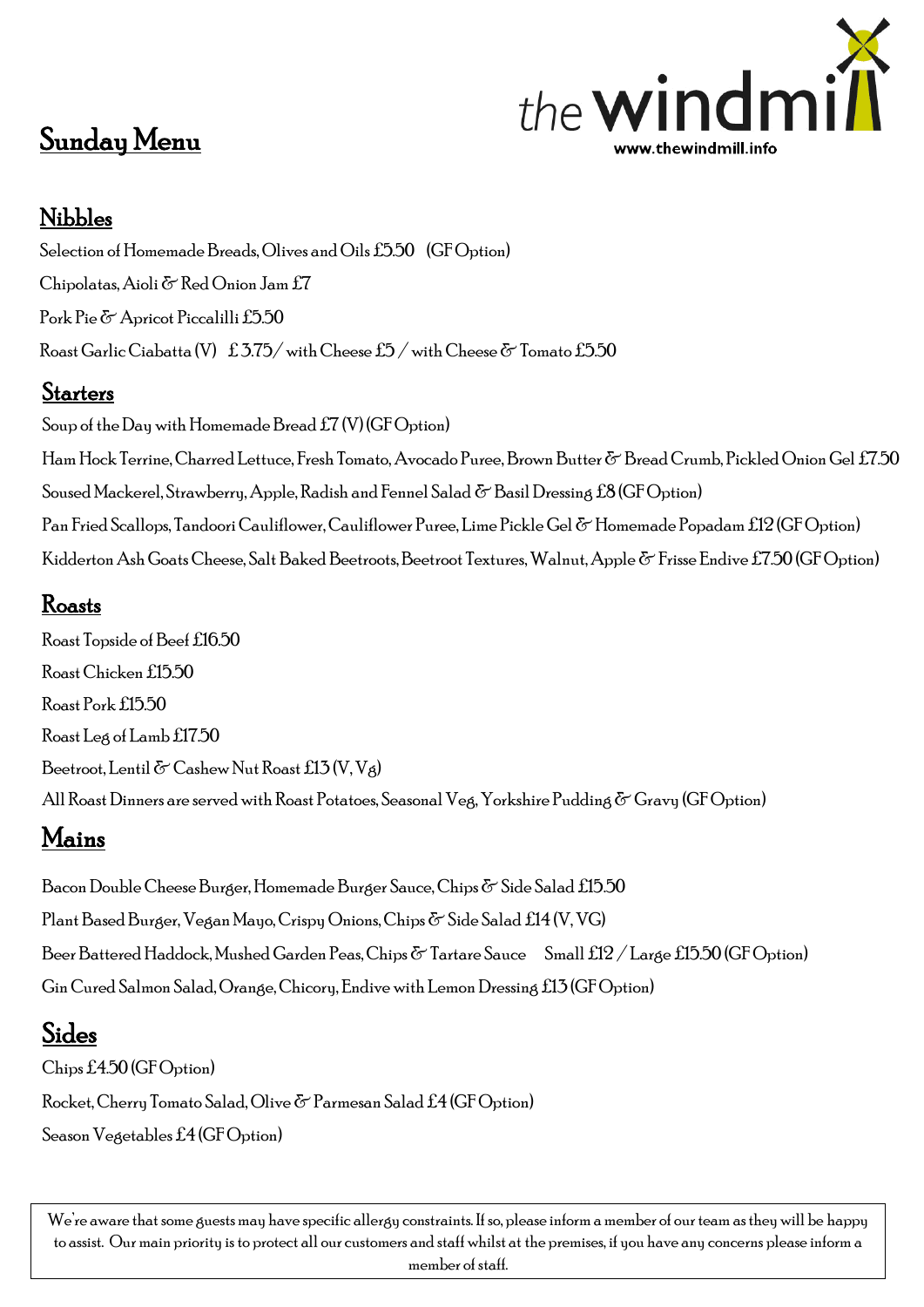# the **WIr** www.thewindmill.info

## Sunday Menu

#### Nibbles

Selection of Homemade Breads, Olives and Oils £5.50 (GF Option) Chipolatas, Aioli & Red Onion Jam£7 Pork Pie & Apricot Piccalilli £5.50 Roast Garlic Ciabatta (V)  $\pm 3.75/\text{ with}$  Cheese  $\pm 5/\text{ with}$  Cheese  $\&$  Tomato  $\pm 5.50$ 

#### **Starters**

Soup of the Day with Homemade Bread £7 (V) (GF Option) Ham Hock Terrine, Charred Lettuce, Fresh Tomato, Avocado Puree, Brown Butter & Bread Crumb, Pickled Onion Gel £7.50 Soused Mackerel, Strawberry, Apple, Radish and Fennel Salad  $\sigma$  Basil Dressing £8 (GF Option) Pan Fried Scallops, Tandoori Cauliflower, Cauliflower Puree, Lime Pickle Gel & Homemade Popadam £12 (GF Option) Kidderton Ash Goats Cheese, Salt Baked Beetroots, Beetroot Textures, Walnut, Apple & Frisse Endive £7.50 (GF Option)

#### Roasts

Roast Topside of Beef £16.50 Roast Chicken £15.50 Roast Pork £15.50 Roast Leg of Lamb £17.50 Beetroot, Lentil  $\delta$  Cashew Nut Roast £13 (V, Vg) All Roast Dinners are served with Roast Potatoes, Seasonal Veg, Yorkshire Pudding & Gravy (GF Option)

## Mains

Bacon Double Cheese Burger, Homemade Burger Sauce, Chips  $\sigma$  Side Salad £15.50 Plant Based Burger, Vegan Mayo, Crispy Onions, Chips & Side Salad £14 (V, VG) Beer Battered Haddock, Mushed Garden Peas, Chips  $\delta$  Tartare Sauce Small £12 / Large £15.50 (GF Option) Gin Cured Salmon Salad, Orange, Chicory, Endive with LemonDressing £13 (GF Option)

### Sides

Chips £4.50 (GF Option) Rocket,Cherry Tomato Salad, Olive & Parmesan Salad £4 (GF Option) Season Vegetables £4 (GF Option)

We're aware that some guests may have specific allergy constraints. If so, please inform a member of our team as they will be happy to assist. Our main priority is to protect all our customers and staff whilst at the premises, if you have any concerns please inform a member of staff.